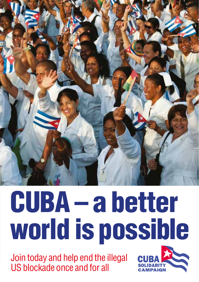

# CUBA – a better world is possible

Join today and help end the illegal US blockade once and for all

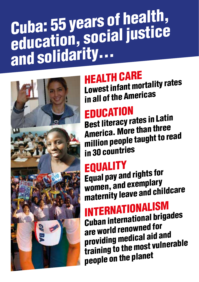## Cuba: 55 years of health, education, social justice and solidarity…



#### Health care

Lowest infant mortality rates in all of the Americas

#### **EDUCATION**

Best literacy rates in Latin America. More than three million people taught to read in 30 countries

#### **EQUALITY**

Equal pay and rights for women, and exemplary maternity leave and childcare

### Internationalism

Cuban international brigades are world renowned for providing medical aid and training to the most vulnerable people on the planet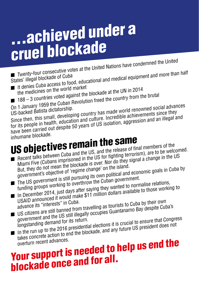# …achieved under a cruel blockade

<sup>n</sup> Twenty-four consecutive votes at the United Nations have condemned the United ■ Twenty-four consecutive voice as and<br>States' illegal blockade of Cuba<br>■ It denies Cuba access to food, educational and medical equipment and more than half

- It denies Guba accoce world market<br>the medicines on the world market<br>188 3 countries voted against the blockade at the UN in 2014 The medicines on the world market<br>
188 – 3 countries voted against the blockade at the UN in 2014<br>
On 1 January 1959 the Cuban Revolution freed the country from the brutal
- 
- 

On 1 January 1959 the Cuban Recesse.<br>US-backed Batista dictatorship.<br>Since then, this small, developing country has made world renowned social advances<br>Since then, this small, developing country has made world achievements for its people in health, education and culture. Incredible achievements since they have been carried out despite 50 years of US isolation, aggression and an illegal and

inhumane blockade.

# US objectives remain the same

- **n** Recent talks between Cuba and the US, and the release of final members of the Miami Five (Cubans imprisoned in the US for fighting terrorism), are to be welcomed. But, they do not mean the blockade is over. Nor do they signal a change in the US government's objective of 'regime change' on the island. The US government is still pursuing its own political and economic goals in Cuba by
- funding groups working to overthrow the Cuban government.
- In December 2014, just days after saying they wanted to normalise relations, USAID announced it would make \$11 million dollars available to those working to
- USAID announced it was in Cuba.<br>advance its "interests" in Cuba.<br>US citizens are still banned from travelling as tourists to Cuba by their own<br>US citizens are still banned from travelling as tourists to Cuba by despite Cub
- government and the US still illegally occupies Guantanamo Bay despite Cuba's government and the US still the return.<br>
longstanding demand for its return.<br>
In the run up to the 2016 presidential elections it is crucial to ensure that Congress<br>
In the run up to the 2016 presidential elections it is c
- takes concrete action to end the blockade, and any future US president does not overturn recent advances.

### rakes concreant advances.<br>
Your support is needed to help us end the<br>
Your support is needed to help us end the **blockade once and for all.**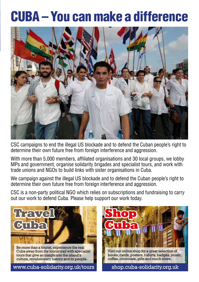#### Cuba – You can make a difference



CSC campaigns to end the illegal US blockade and to defend the Cuban people's right to determine their own future free from foreign interference and aggression.

With more than 5,000 members, affiliated organisations and 30 local groups, we lobby MPs and government, organise solidarity brigades and specialist tours, and work with trade unions and NGOs to build links with sister organisations in Cuba.

We campaign against the illegal US blockade and to defend the Cuban people's right to determine their own future free from foreign interference and aggression.

CSC is a non-party political NGO which relies on subscriptions and fundraising to carry out our work to defend Cuba. Please help support our work today.



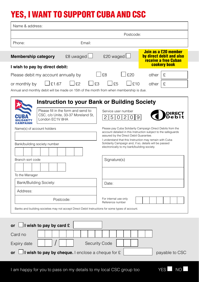#### Yes, I want to support Cuba and CSC

| Name & address:                                                                                                                      |               |                                                                                                                                                                                                                                                                                                                                            |     |                                                                          |
|--------------------------------------------------------------------------------------------------------------------------------------|---------------|--------------------------------------------------------------------------------------------------------------------------------------------------------------------------------------------------------------------------------------------------------------------------------------------------------------------------------------------|-----|--------------------------------------------------------------------------|
| Postcode:                                                                                                                            |               |                                                                                                                                                                                                                                                                                                                                            |     |                                                                          |
| Phone:                                                                                                                               | Email:        |                                                                                                                                                                                                                                                                                                                                            |     |                                                                          |
| <b>Membership category</b>                                                                                                           | £8 uwaged L   | £20 waged                                                                                                                                                                                                                                                                                                                                  |     | Join as a £20 member<br>by direct debit and also<br>receive a free Cuban |
| <b>cookery book</b><br>I wish to pay by direct debit:                                                                                |               |                                                                                                                                                                                                                                                                                                                                            |     |                                                                          |
| Please debit my account annually by                                                                                                  |               | ⊥£8                                                                                                                                                                                                                                                                                                                                        | £20 | £<br>other                                                               |
| £1.67<br>or monthly by                                                                                                               | F2<br>F3      | F5                                                                                                                                                                                                                                                                                                                                         | E10 | other<br>£                                                               |
| Annual and monthly debit will be made on 15th of the month from when membership is due.                                              |               |                                                                                                                                                                                                                                                                                                                                            |     |                                                                          |
| <b>Instruction to your Bank or Building Society</b>                                                                                  |               |                                                                                                                                                                                                                                                                                                                                            |     |                                                                          |
| Please fill in the form and send to:<br>CSC, c/o Unite, 33-37 Moreland St,<br>London EC1V 8HA<br><b>CAMPAIGN</b>                     |               | Service user number<br>5                                                                                                                                                                                                                                                                                                                   |     |                                                                          |
| Name(s) of account holders<br>Bank/building society number                                                                           |               | Please pay Cuba Solidarity Campaign Direct Debits from the<br>account detailed in this Instruction subject to the safeguards<br>assured by the Direct Debit Guarantee.<br>I understand that this Instruction may remain with Cuba<br>Solidarity Campaign and, if so, details will be passed<br>electronically to my bank/building society. |     |                                                                          |
| Branch sort code<br>To the Manager                                                                                                   |               | Signature(s)                                                                                                                                                                                                                                                                                                                               |     |                                                                          |
| Bank/Building Society:                                                                                                               |               | Date:                                                                                                                                                                                                                                                                                                                                      |     |                                                                          |
| Address:                                                                                                                             |               |                                                                                                                                                                                                                                                                                                                                            |     |                                                                          |
| Postcode:                                                                                                                            |               | For internal use only<br>Reference number                                                                                                                                                                                                                                                                                                  |     |                                                                          |
| Banks and building societies may not accept Direct Debit Instructions for some types of account.                                     |               |                                                                                                                                                                                                                                                                                                                                            |     |                                                                          |
| $\Box$ I wish to pay by card £<br><b>or</b><br>Card no<br>Expiry date<br>I wish to pay by cheque. I enclose a cheque for $E$<br>or l | Security Code |                                                                                                                                                                                                                                                                                                                                            |     | payable to CSC                                                           |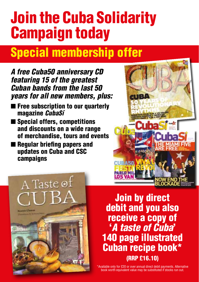### Join the Cuba Solidarity Campaign today

### Special membership offer

*A free Cuba50 anniversary CD featuring 15 of the greatest Cuban bands from the last 50 years for all new members, plus:*

- Free subscription to our quarterly magazine *CubaSí*
- Special offers, competitions and discounts on a wide range of merchandise, tours and events
- Regular briefing papers and updates on Cuba and CSC campaigns



A Taste  $\circ$ f **Bearrist Llamas** 

Join by direct debit and you also receive a copy of '*A taste of Cuba*' 140 page illustrated Cuban recipe book\* (RRP £16.10)

\*Available only for £20 or over annual direct debit payments. Alternative book worth equivalent value may be substituted if stocks run out.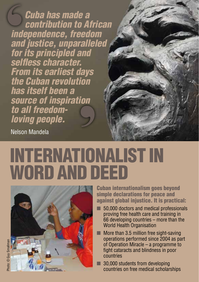*Cuba has made a contribution to African independence, freedom and justice, unparalleled for its principled and selfless character. From its earliest days the Cuban revolution has itself been a source of inspiration to all freedomloving people.*

Nelson Mandela

### Internationalist in WORD AND DEED



Cuban internationalism goes beyond simple declarations for peace and against global injustice. It is practical:

- 50,000 doctors and medical professionals proving free health care and training in 66 developing countries – more than the World Health Organisation
- $\blacksquare$  More than 3.5 million free sight-saving operations performed since 2004 as part of Operation Miracle – a programme to fight cataracts and blindness in poor countries
- $\blacksquare$  30,000 students from developing countries on free medical scholarships